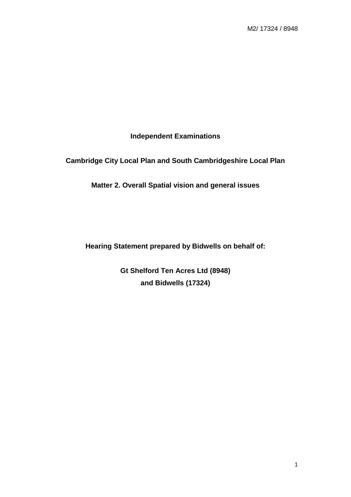**Independent Examinations**

**Cambridge City Local Plan and South Cambridgeshire Local Plan**

**Matter 2. Overall Spatial vision and general issues**

**Hearing Statement prepared by Bidwells on behalf of:**

**Gt Shelford Ten Acres Ltd (8948) and Bidwells (17324)**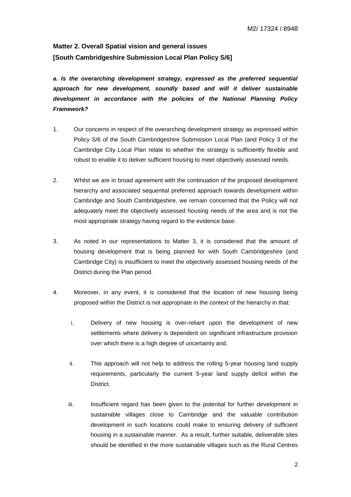# **Matter 2. Overall Spatial vision and general issues [South Cambridgeshire Submission Local Plan Policy S/6]**

*a. Is the overarching development strategy, expressed as the preferred sequential approach for new development, soundly based and will it deliver sustainable development in accordance with the policies of the National Planning Policy Framework?*

- 1. Our concerns in respect of the overarching development strategy as expressed within Policy S/6 of the South Cambridgeshire Submission Local Plan (and Policy 3 of the Cambridge City Local Plan relate to whether the strategy is sufficiently flexible and robust to enable it to deliver sufficient housing to meet objectively assessed needs.
- 2. Whilst we are in broad agreement with the continuation of the proposed development hierarchy and associated sequential preferred approach towards development within Cambridge and South Cambridgeshire, we remain concerned that the Policy will not adequately meet the objectively assessed housing needs of the area and is not the most appropriate strategy having regard to the evidence base.
- 3. As noted in our representations to Matter 3, it is considered that the amount of housing development that is being planned for with South Cambridgeshire (and Cambridge City) is insufficient to meet the objectively assessed housing needs of the District during the Plan period.
- 4. Moreover, in any event, it is considered that the location of new housing being proposed within the District is not appropriate in the context of the hierarchy in that:
	- i. Delivery of new housing is over-reliant upon the development of new settlements where delivery is dependent on significant infrastructure provision over which there is a high degree of uncertainty and,
	- ii. This approach will not help to address the rolling 5-year housing land supply requirements, particularly the current 5-year land supply deficit within the District.
	- iii. Insufficient regard has been given to the potential for further development in sustainable villages close to Cambridge and the valuable contribution development in such locations could make to ensuring delivery of sufficient housing in a sustainable manner. As a result, further suitable, deliverable sites should be identified in the more sustainable villages such as the Rural Centres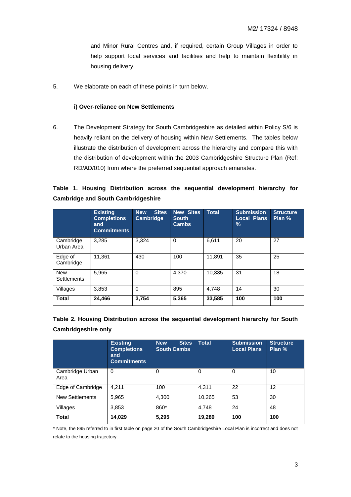and Minor Rural Centres and, if required, certain Group Villages in order to help support local services and facilities and help to maintain flexibility in housing delivery.

5. We elaborate on each of these points in turn below.

### **i) Over-reliance on New Settlements**

6. The Development Strategy for South Cambridgeshire as detailed within Policy S/6 is heavily reliant on the delivery of housing within New Settlements. The tables below illustrate the distribution of development across the hierarchy and compare this with the distribution of development within the 2003 Cambridgeshire Structure Plan (Ref: RD/AD/010) from where the preferred sequential approach emanates.

## **Table 1. Housing Distribution across the sequential development hierarchy for Cambridge and South Cambridgeshire**

|                                  | <b>Existing</b><br><b>Completions</b><br>and<br><b>Commitments</b> | <b>Sites</b><br><b>New</b><br><b>Cambridge</b> | <b>New Sites</b><br><b>South</b><br><b>Cambs</b> | <b>Total</b> | <b>Submission</b><br><b>Local Plans</b><br>$\%$ | <b>Structure</b><br>Plan % |
|----------------------------------|--------------------------------------------------------------------|------------------------------------------------|--------------------------------------------------|--------------|-------------------------------------------------|----------------------------|
| Cambridge<br>Urban Area          | 3,285                                                              | 3,324                                          | $\mathbf 0$                                      | 6,611        | 20                                              | 27                         |
| Edge of<br>Cambridge             | 11.361                                                             | 430                                            | 100                                              | 11.891       | 35                                              | 25                         |
| <b>New</b><br><b>Settlements</b> | 5.965                                                              | $\Omega$                                       | 4.370                                            | 10,335       | 31                                              | 18                         |
| Villages                         | 3,853                                                              | 0                                              | 895                                              | 4,748        | 14                                              | 30                         |
| <b>Total</b>                     | 24,466                                                             | 3,754                                          | 5,365                                            | 33,585       | 100                                             | 100                        |

|                            |  | Table 2. Housing Distribution across the sequential development hierarchy for South |  |  |
|----------------------------|--|-------------------------------------------------------------------------------------|--|--|
| <b>Cambridgeshire only</b> |  |                                                                                     |  |  |

|                         | <b>Existing</b><br><b>Completions</b><br>and<br><b>Commitments</b> | <b>Sites</b><br><b>New</b><br><b>South Cambs</b> | <b>Total</b> | <b>Submission</b><br><b>Local Plans</b> | <b>Structure</b><br>Plan % |
|-------------------------|--------------------------------------------------------------------|--------------------------------------------------|--------------|-----------------------------------------|----------------------------|
| Cambridge Urban<br>Area | $\Omega$                                                           | 0                                                | $\Omega$     | $\Omega$                                | 10                         |
| Edge of Cambridge       | 4.211                                                              | 100                                              | 4.311        | 22                                      | 12                         |
| <b>New Settlements</b>  | 5,965                                                              | 4,300                                            | 10,265       | 53                                      | 30                         |
| Villages                | 3,853                                                              | 860*                                             | 4,748        | 24                                      | 48                         |
| <b>Total</b>            | 14,029                                                             | 5,295                                            | 19,289       | 100                                     | 100                        |

\* Note, the 895 referred to in first table on page 20 of the South Cambridgeshire Local Plan is incorrect and does not relate to the housing trajectory.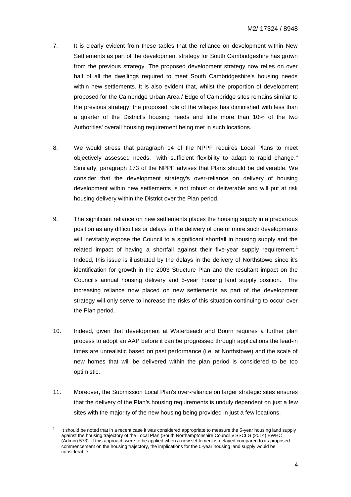- 7. It is clearly evident from these tables that the reliance on development within New Settlements as part of the development strategy for South Cambridgeshire has grown from the previous strategy. The proposed development strategy now relies on over half of all the dwellings required to meet South Cambridgeshire's housing needs within new settlements. It is also evident that, whilst the proportion of development proposed for the Cambridge Urban Area / Edge of Cambridge sites remains similar to the previous strategy, the proposed role of the villages has diminished with less than a quarter of the District's housing needs and little more than 10% of the two Authorities' overall housing requirement being met in such locations.
- 8. We would stress that paragraph 14 of the NPPF requires Local Plans to meet obiectively assessed needs, "with sufficient flexibility to adapt to rapid change." Similarly, paragraph 173 of the NPPF advises that Plans should be deliverable. We consider that the development strategy's over-reliance on delivery of housing development within new settlements is not robust or deliverable and will put at risk housing delivery within the District over the Plan period.
- 9. The significant reliance on new settlements places the housing supply in a precarious position as any difficulties or delays to the delivery of one or more such developments will inevitably expose the Council to a significant shortfall in housing supply and the related impact of having a shortfall against their five-year supply requirement.<sup>1</sup> Indeed, this issue is illustrated by the delays in the delivery of Northstowe since it's identification for growth in the 2003 Structure Plan and the resultant impact on the Council's annual housing delivery and 5-year housing land supply position. The increasing reliance now placed on new settlements as part of the development strategy will only serve to increase the risks of this situation continuing to occur over the Plan period.
- 10. Indeed, given that development at Waterbeach and Bourn requires a further plan process to adopt an AAP before it can be progressed through applications the lead-in times are unrealistic based on past performance (i.e. at Northstowe) and the scale of new homes that will be delivered within the plan period is considered to be too optimistic.
- 11. Moreover, the Submission Local Plan's over-reliance on larger strategic sites ensures that the delivery of the Plan's housing requirements is unduly dependent on just a few sites with the majority of the new housing being provided in just a few locations.

1

<sup>1</sup> It should be noted that in a recent case it was considered appropriate to measure the 5-year housing land supply against the housing trajectory of the Local Plan (South Northamptonshire Council v SSCLG (2014) EWHC (Admin) 573). If this approach were to be applied when a new settlement is delayed compared to its proposed commencement on the housing trajectory, the implications for the 5-year housing land supply would be considerable.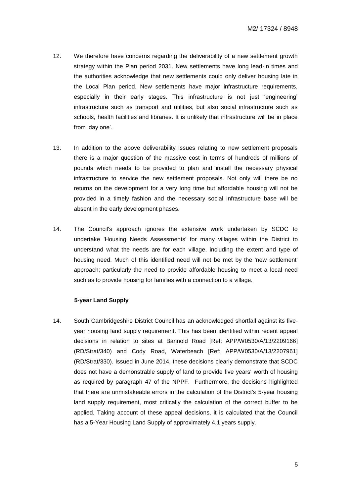- 12. We therefore have concerns regarding the deliverability of a new settlement growth strategy within the Plan period 2031. New settlements have long lead-in times and the authorities acknowledge that new settlements could only deliver housing late in the Local Plan period. New settlements have major infrastructure requirements, especially in their early stages. This infrastructure is not just 'engineering' infrastructure such as transport and utilities, but also social infrastructure such as schools, health facilities and libraries. It is unlikely that infrastructure will be in place from 'day one'.
- 13. In addition to the above deliverability issues relating to new settlement proposals there is a major question of the massive cost in terms of hundreds of millions of pounds which needs to be provided to plan and install the necessary physical infrastructure to service the new settlement proposals. Not only will there be no returns on the development for a very long time but affordable housing will not be provided in a timely fashion and the necessary social infrastructure base will be absent in the early development phases.
- 14. The Council's approach ignores the extensive work undertaken by SCDC to undertake 'Housing Needs Assessments' for many villages within the District to understand what the needs are for each village, including the extent and type of housing need. Much of this identified need will not be met by the 'new settlement' approach; particularly the need to provide affordable housing to meet a local need such as to provide housing for families with a connection to a village.

#### **5-year Land Supply**

14. South Cambridgeshire District Council has an acknowledged shortfall against its fiveyear housing land supply requirement. This has been identified within recent appeal decisions in relation to sites at Bannold Road [Ref: APP/W0530/A/13/2209166] (RD/Strat/340) and Cody Road, Waterbeach [Ref: APP/W0530/A/13/2207961] (RD/Strat/330). Issued in June 2014, these decisions clearly demonstrate that SCDC does not have a demonstrable supply of land to provide five years' worth of housing as required by paragraph 47 of the NPPF. Furthermore, the decisions highlighted that there are unmistakeable errors in the calculation of the District's 5-year housing land supply requirement, most critically the calculation of the correct buffer to be applied. Taking account of these appeal decisions, it is calculated that the Council has a 5-Year Housing Land Supply of approximately 4.1 years supply.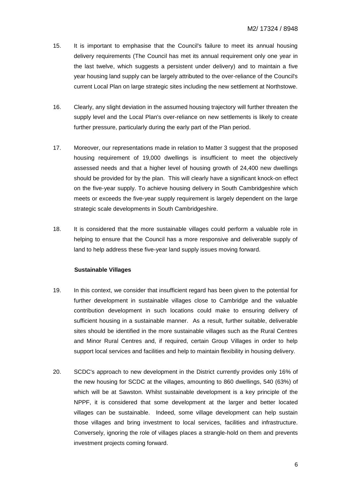- 15. It is important to emphasise that the Council's failure to meet its annual housing delivery requirements (The Council has met its annual requirement only one year in the last twelve, which suggests a persistent under delivery) and to maintain a five year housing land supply can be largely attributed to the over-reliance of the Council's current Local Plan on large strategic sites including the new settlement at Northstowe.
- 16. Clearly, any slight deviation in the assumed housing trajectory will further threaten the supply level and the Local Plan's over-reliance on new settlements is likely to create further pressure, particularly during the early part of the Plan period.
- 17. Moreover, our representations made in relation to Matter 3 suggest that the proposed housing requirement of 19,000 dwellings is insufficient to meet the objectively assessed needs and that a higher level of housing growth of 24,400 new dwellings should be provided for by the plan. This will clearly have a significant knock-on effect on the five-year supply. To achieve housing delivery in South Cambridgeshire which meets or exceeds the five-year supply requirement is largely dependent on the large strategic scale developments in South Cambridgeshire.
- 18. It is considered that the more sustainable villages could perform a valuable role in helping to ensure that the Council has a more responsive and deliverable supply of land to help address these five-year land supply issues moving forward.

#### **Sustainable Villages**

- 19. In this context, we consider that insufficient regard has been given to the potential for further development in sustainable villages close to Cambridge and the valuable contribution development in such locations could make to ensuring delivery of sufficient housing in a sustainable manner. As a result, further suitable, deliverable sites should be identified in the more sustainable villages such as the Rural Centres and Minor Rural Centres and, if required, certain Group Villages in order to help support local services and facilities and help to maintain flexibility in housing delivery.
- 20. SCDC's approach to new development in the District currently provides only 16% of the new housing for SCDC at the villages, amounting to 860 dwellings, 540 (63%) of which will be at Sawston. Whilst sustainable development is a key principle of the NPPF, it is considered that some development at the larger and better located villages can be sustainable. Indeed, some village development can help sustain those villages and bring investment to local services, facilities and infrastructure. Conversely, ignoring the role of villages places a strangle-hold on them and prevents investment projects coming forward.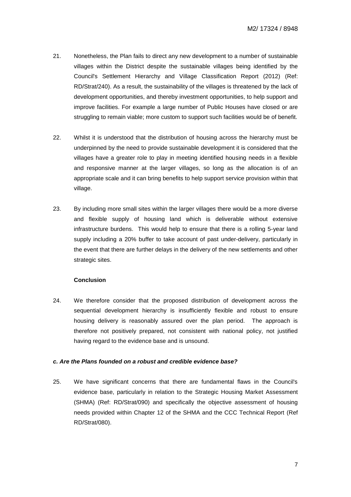- 21. Nonetheless, the Plan fails to direct any new development to a number of sustainable villages within the District despite the sustainable villages being identified by the Council's Settlement Hierarchy and Village Classification Report (2012) (Ref: RD/Strat/240). As a result, the sustainability of the villages is threatened by the lack of development opportunities, and thereby investment opportunities, to help support and improve facilities. For example a large number of Public Houses have closed or are struggling to remain viable; more custom to support such facilities would be of benefit.
- 22. Whilst it is understood that the distribution of housing across the hierarchy must be underpinned by the need to provide sustainable development it is considered that the villages have a greater role to play in meeting identified housing needs in a flexible and responsive manner at the larger villages, so long as the allocation is of an appropriate scale and it can bring benefits to help support service provision within that village.
- 23. By including more small sites within the larger villages there would be a more diverse and flexible supply of housing land which is deliverable without extensive infrastructure burdens. This would help to ensure that there is a rolling 5-year land supply including a 20% buffer to take account of past under-delivery, particularly in the event that there are further delays in the delivery of the new settlements and other strategic sites.

#### **Conclusion**

24. We therefore consider that the proposed distribution of development across the sequential development hierarchy is insufficiently flexible and robust to ensure housing delivery is reasonably assured over the plan period. The approach is therefore not positively prepared, not consistent with national policy, not justified having regard to the evidence base and is unsound.

### *c. Are the Plans founded on a robust and credible evidence base?*

25. We have significant concerns that there are fundamental flaws in the Council's evidence base, particularly in relation to the Strategic Housing Market Assessment (SHMA) (Ref: RD/Strat/090) and specifically the objective assessment of housing needs provided within Chapter 12 of the SHMA and the CCC Technical Report (Ref RD/Strat/080).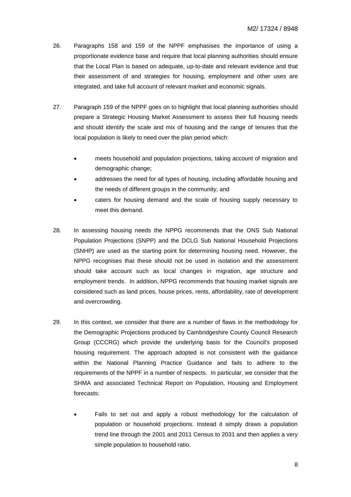- 26. Paragraphs 158 and 159 of the NPPF emphasises the importance of using a proportionate evidence base and require that local planning authorities should ensure that the Local Plan is based on adequate, up-to-date and relevant evidence and that their assessment of and strategies for housing, employment and other uses are integrated, and take full account of relevant market and economic signals.
- 27. Paragraph 159 of the NPPF goes on to highlight that local planning authorities should prepare a Strategic Housing Market Assessment to assess their full housing needs and should identify the scale and mix of housing and the range of tenures that the local population is likely to need over the plan period which:
	- meets household and population projections, taking account of migration and demographic change;
	- addresses the need for all types of housing, including affordable housing and the needs of different groups in the community; and
	- caters for housing demand and the scale of housing supply necessary to meet this demand.
- 28. In assessing housing needs the NPPG recommends that the ONS Sub National Population Projections (SNPP) and the DCLG Sub National Household Projections (SNHP) are used as the starting point for determining housing need. However, the NPPG recognises that these should not be used in isolation and the assessment should take account such as local changes in migration, age structure and employment trends. In addition, NPPG recommends that housing market signals are considered such as land prices, house prices, rents, affordability, rate of development and overcrowding.
- 29. In this context, we consider that there are a number of flaws in the methodology for the Demographic Projections produced by Cambridgeshire County Council Research Group (CCCRG) which provide the underlying basis for the Council's proposed housing requirement. The approach adopted is not consistent with the guidance within the National Planning Practice Guidance and fails to adhere to the requirements of the NPPF in a number of respects. In particular, we consider that the SHMA and associated Technical Report on Population, Housing and Employment forecasts:
	- Fails to set out and apply a robust methodology for the calculation of population or household projections. Instead it simply draws a population trend line through the 2001 and 2011 Census to 2031 and then applies a very simple population to household ratio.